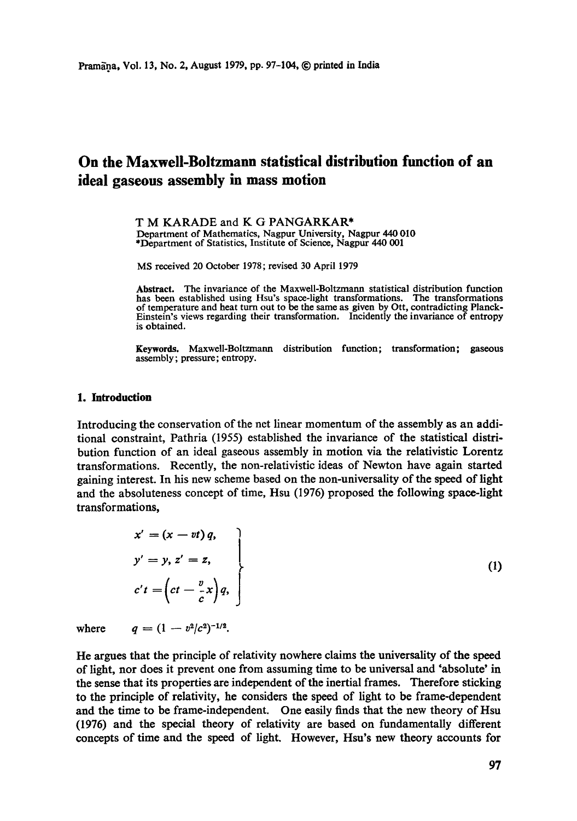# **On the Maxwell-Boltzmann statistical distribution function of an ideal gaseous assembly in mass motion**

**T M KARADE and K G PANGARKAR\***  Department of Mathematics, Nagpur University, Nagpur 440 010 \*Department of Statistics, Institute of Science, Nagpur 440 001

MS received 20 October 1978; revised 30 April 1979

**Abstract.** The invariance of the Maxwell-Boltzrnann statistical distribution function has been established using Hsu's space-light transformations. The transformations of temperature and heat turn out to be the same as given by Ott, contradicting Planck-Einstein's views regarding their transformation. Incidently the invariance of entropy is obtained.

Keywords. Maxwell-Boltzmann distribution function; transformation; gaseous assembly; pressure; entropy.

#### 1. Introduction

Introducing the conservation of the net linear momentum of the assembly as an additional constraint, Pathria (1955) established the invariance of the statistical distribution function of an ideal gaseous assembly in motion via the relativistic Lorentz transformations. Recently, the non-relativistic ideas of Newton have again started gaining interest. In his new scheme based on the non-universality of the speed of light and the absoluteness concept of time, Hsu (1976) proposed the following space-light transformations,

$$
x' = (x - vt) q,
$$
  
\n
$$
y' = y, z' = z,
$$
  
\n
$$
c't = \left(ct - \frac{v}{c} x\right) q,
$$
\n(1)

where  $q = (1 - v^2/c^2)^{-1/2}$ .

He argues that the principle of relativity nowhere claims the universality of the speed of light, nor does it prevent one from assuming time to be universal and "absolute' in the sense that its properties are independent of the inertial frames. Therefore sticking to the principle of relativity, he considers the speed of light to be frame-dependent and the time to be frame-independent. One easily finds that the new theory of Hsu (1976) and the special theory of relativity are based on fundamentally different concepts of time and the speed of light. However, Hsu's new theory accounts for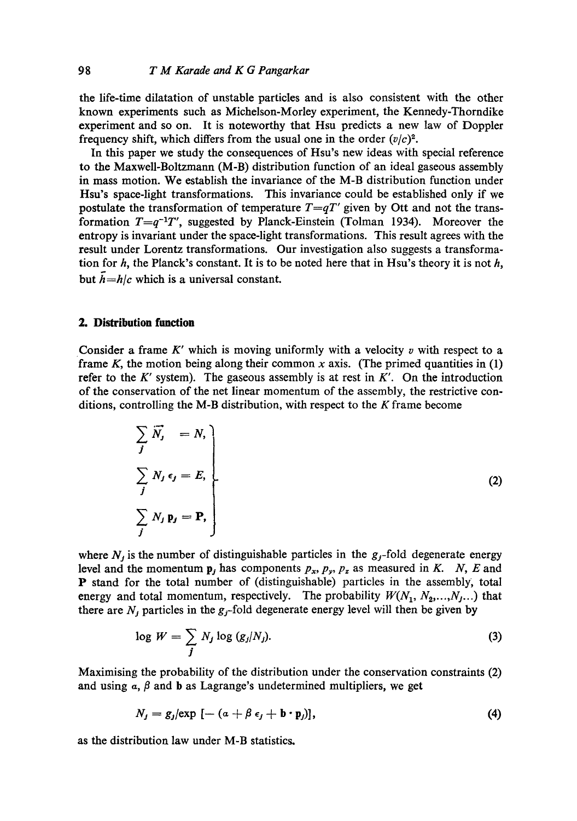the life-time dilatation of unstable particles and is also consistent with the other known experiments such as Michelson-Morley experiment, the Kennedy-Thorndike experiment and so on. It is noteworthy that Hsu predicts a new law of Doppler frequency shift, which differs from the usual one in the order  $(v/c)^2$ .

In this paper we study the consequences of Hsu's new ideas with special reference to the Maxwell-Boltzmann (M-B) distribution function of an ideal gaseous assembly in mass motion. We establish the invariance of the M-B distribution function under Hsu's space-light transformations. This invariance could be established only if we postulate the transformation of temperature  $T=qT'$  given by Ott and not the transformation *T=q-IT ',* suggested by Planck-Einstein (Tolman 1934). Moreover the entropy is invariant under the space-light transformations. This result agrees with the result under Lorentz transformations. Our investigation also suggests a transformation for  $h$ , the Planck's constant. It is to be noted here that in Hsu's theory it is not  $h$ , but  $\bar{h}=h/c$  which is a universal constant.

## **2. Distribution function**

Consider a frame  $K'$  which is moving uniformly with a velocity  $v$  with respect to a frame K, the motion being along their common x axis. (The primed quantities in  $(1)$ ) refer to the  $K'$  system). The gaseous assembly is at rest in  $K'$ . On the introduction of the conservation of the net linear momentum of the assembly, the restrictive conditions, controlling the M-B distribution, with respect to the  $K$  frame become

$$
\sum_{j} \overrightarrow{N}_{j} = N,
$$
\n
$$
\sum_{j} N_{j} \epsilon_{j} = E,
$$
\n
$$
\sum_{j} N_{j} \mathbf{p}_{j} = \mathbf{P},
$$
\n(2)

where  $N_j$  is the number of distinguishable particles in the  $g_j$ -fold degenerate energy level and the momentum  $p_j$  has components  $p_x$ ,  $p_y$ ,  $p_z$  as measured in K. N, E and P stand for the total number of (distinguishable) particles in the assembly, total energy and total momentum, respectively. The probability  $W(N_1, N_2, \ldots, N_j, \ldots)$  that there are  $N_i$  particles in the  $g_j$ -fold degenerate energy level will then be given by

$$
\log W = \sum_{j} N_j \log (g_j/N_j). \tag{3}
$$

Maximising the probability of the distribution under the conservation constraints (2) and using  $\alpha$ ,  $\beta$  and **b** as Lagrange's undetermined multipliers, we get

$$
N_j = g_j|\exp\left[ -\left( a + \beta \epsilon_j + \mathbf{b} \cdot \mathbf{p}_j \right) \right],\tag{4}
$$

as the distribution law under M-B statistics.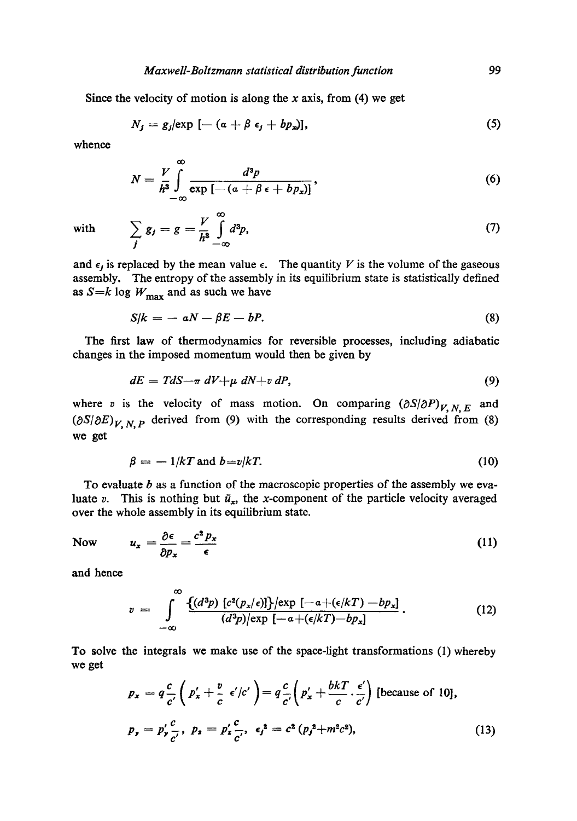Since the velocity of motion is along the x axis, from  $(4)$  we get

$$
N_j = g_j(\exp\left[ -\left( a + \beta \epsilon_j + bp_x \right) \right],\tag{5}
$$

whence

$$
N = \frac{V}{h^3} \int_{-\infty}^{\infty} \frac{d^3p}{\exp\left[-(a + \beta \epsilon + bp_x)\right]},
$$
\n(6)

with

 $V\,\,\stackrel{\infty}{\,\,}$ j —∞ (7)

and  $\epsilon_j$  is replaced by the mean value  $\epsilon$ . The quantity V is the volume of the gaseous assembly. The entropy of the assembly in its equilibrium state is statistically defined as  $S=k \log W_{\text{max}}$  and as such we have

$$
S/k = -aN - \beta E - bP. \tag{8}
$$

The first law of thermodynamics for reversible processes, including adiabatic changes in the imposed momentum would then be given by

$$
dE = TdS - \pi dV + \mu dN + v dP, \qquad (9)
$$

where v is the velocity of mass motion. On comparing  $(\partial S/\partial P)_{V, N, E}$  and  $(\partial S/\partial E)_{V,N,P}$  derived from (9) with the corresponding results derived from (8) we get

$$
\beta = -1/kT \text{ and } b = v/kT. \tag{10}
$$

To evaluate  $b$  as a function of the macroscopic properties of the assembly we evaluate v. This is nothing but  $\bar{u}_x$ , the x-component of the particle velocity averaged over the whole assembly in its equilibrium state.

Now  $u_x = \frac{\partial \epsilon}{\partial t} = \frac{c^2 p_x}{\partial t}$  (11)  $\partial p_x$   $\epsilon$ 

and hence

$$
v = \int_{-\infty}^{\infty} \frac{\{(d^3p) \ [c^2(p_x/\epsilon)]\} / \exp\left[-a+(\epsilon/kT)-bp_x\right]}{(d^3p) / \exp\left[-\alpha+(\epsilon/kT)-bp_x\right]}.
$$
 (12)

To solve the integrals we make use of the space-light transformations (1) whereby we get

$$
p_x = q \frac{c}{c'} \left( p'_x + \frac{v}{c} \epsilon'/c' \right) = q \frac{c}{c'} \left( p'_x + \frac{bkT}{c} \cdot \frac{\epsilon'}{c'} \right) \text{ [because of 10]},
$$
  
\n
$$
p_y = p'_y \frac{c}{c'}, \ p_z = p'_z \frac{c}{c'}, \ \epsilon_j^2 = c^2 (p_j^2 + m^2 c^2), \tag{13}
$$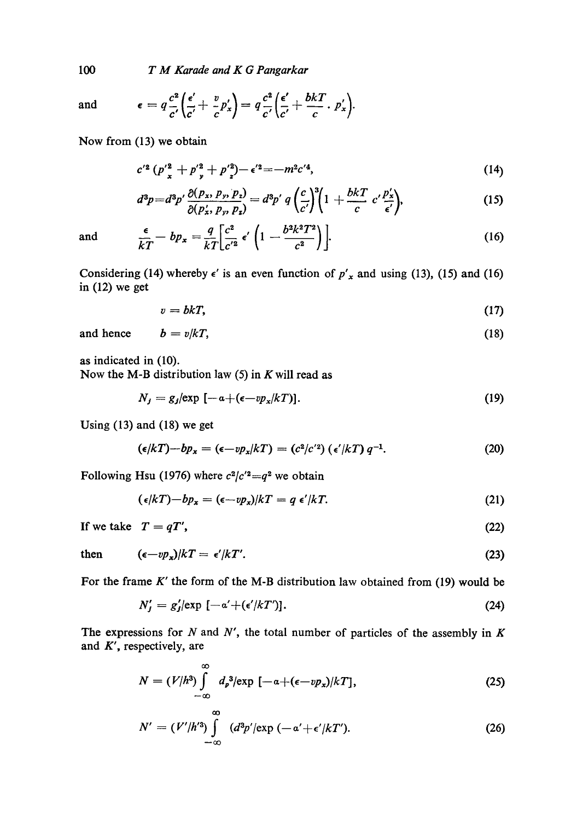*T M Karade and K G Pangarkar* 

and

$$
\epsilon = q \frac{c^2}{c'} \left( \frac{\epsilon'}{c'} + \frac{v}{c} p_x' \right) = q \frac{c^2}{c'} \left( \frac{\epsilon'}{c'} + \frac{bkT}{c} \cdot p_x' \right).
$$

Now from (13) we obtain

$$
c'^2 (p'^2 + p'^2 + p'^2) - \epsilon'^2 = -m^2 c'^4,
$$
 (14)

$$
d^3p = d^3p' \frac{\partial (p_x, p_y, p_z)}{\partial (p'_x, p_y, p_z)} = d^3p' \, q \left(\frac{c}{c'}\right)^3 \left(1 + \frac{bkT}{c} \, c' \frac{p'_x}{\epsilon'}\right),\tag{15}
$$

and 
$$
\frac{\epsilon}{kT} - bp_x = \frac{q}{kT} \left[ \frac{c^2}{c'^2} \epsilon' \left( 1 - \frac{b^2 k^2 T^2}{c^2} \right) \right].
$$
 (16)

Considering (14) whereby  $\epsilon'$  is an even function of  $p'_x$  and using (13), (15) and (16) in (12) we get

$$
v = bkT, \tag{17}
$$

$$
b = v/kT, \tag{18}
$$

as indicated in (10).

and hence

Now the M-B distribution law  $(5)$  in K will read as

$$
N_j = g_j(\exp\left[-a + (\epsilon - v p_x/kT)\right].\tag{19}
$$

Using (13) and (18) we get

$$
(\epsilon/kT) - bp_x = (\epsilon - vp_x/kT) = (c^2/c'^2) (\epsilon'/kT) q^{-1}.
$$
 (20)

Following Hsu (1976) where  $c^2/c'^2 = q^2$  we obtain

$$
(\epsilon/kT) - bp_x = (\epsilon - vp_x)/kT = q \epsilon'/kT.
$$
 (21)

If we take  $T = qT'$ , (22)

then 
$$
(\epsilon - v p_x)/kT = \epsilon'/kT'.
$$
 (23)

For the frame  $K'$  the form of the M-B distribution law obtained from (19) would be

$$
N'_{j} = g'_{j} \left[ \exp \left[ -\alpha' + (\epsilon'/kT') \right]. \right] \tag{24}
$$

The expressions for  $N$  and  $N'$ , the total number of particles of the assembly in  $K$ and  $K'$ , respectively, are

$$
N = (V/h^3) \int_{-\infty}^{\infty} d_p^3 / \exp\left[-\alpha + (\epsilon - v p_x)/kT\right],
$$
 (25)

$$
N' = (V'/h'^3) \int_{-\infty}^{\infty} (d^3p'/\exp(-\alpha' + \epsilon'/kT'). \qquad (26)
$$

100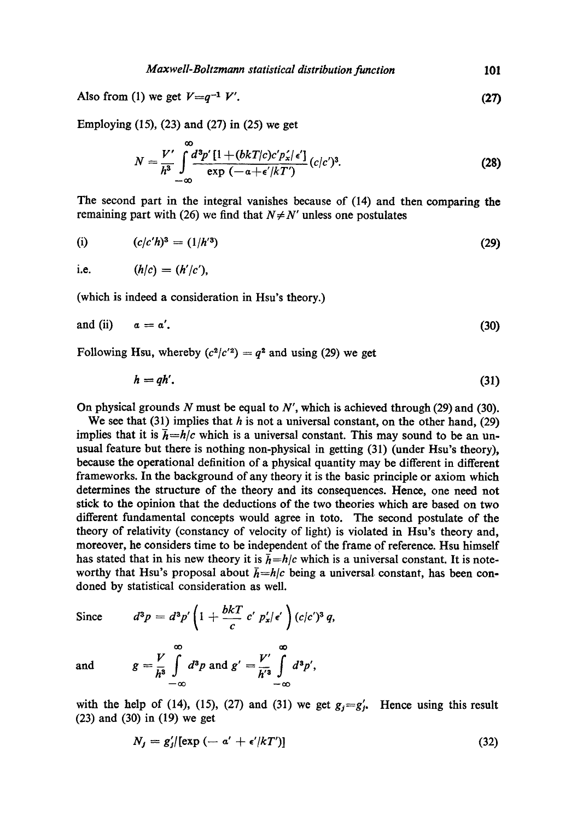Also from (1) we get  $V=q^{-1} V'$ . **(27)** 

Employing (15), (23) and (27) in (25) we get

$$
N = \frac{V'}{h^3} \int_{-\infty}^{\infty} \frac{d^3 p' \left[1 + (bkT/c)c' p'_x/\epsilon'\right]}{\exp\left(-\alpha + \epsilon'/kT'\right)} (c/c')^3.
$$
 (28)

The second part in the integral vanishes because of (14) and then comparing the remaining part with (26) we find that  $N \neq N'$  unless one postulates

(i) 
$$
(c/c'h)^3 = (1/h'^3)
$$
 (29)

i.e. 
$$
(h/c) = (h'/c'),
$$

(which is indeed a consideration in Hsu's theory.)

and (ii) 
$$
a = a'
$$
. (30)

Following Hsu, whereby  $(c^2/c^2) = q^2$  and using (29) we get

$$
h = qh'.
$$
 (31)

On physical grounds N must be equal to  $N'$ , which is achieved through (29) and (30).

We see that (31) implies that  $h$  is not a universal constant, on the other hand, (29) implies that it is  $\bar{h} = h/c$  which is a universal constant. This may sound to be an unusual feature but there is nothing non-physical in getting (31) (under Hsu's theory), because the operational definition of a physical quantity may be different in different frameworks. In the background of any theory it is the basic principle or axiom which determines the structure of the theory and its consequences. Hence, one need not stick to the opinion that the deductions of the two theories which are based on two different fundamental concepts would agree in toto. The second postulate of the theory of relativity (constancy of velocity of light) is violated in Hsu's theory and, moreover, he considers time to be independent of the frame of reference. Hsu himself has stated that in his new theory it is  $\bar{h} = h/c$  which is a universal constant. It is noteworthy that Hsu's proposal about  $\bar{h}=h/c$  being a universal constant, has been condoned by statistical consideration as well.

Since  $d^3p = d^3p' \left( 1 + \frac{bkT}{c'} c' p'_x / \epsilon' \right) (c/c')^3 q,$ 

$$
g = \frac{V}{h^3} \int_0^\infty d^3p \text{ and } g' = \frac{V'}{h'^3} \int_0^\infty d^3p',
$$

*--00 --00* 

and

with the help of (14), (15), (27) and (31) we get  $g_j = g'_j$ . Hence using this result (23) and (30) in (19) we get

$$
N_f = g'_j \text{[exp }(-a' + \epsilon'/kT')\text{]} \tag{32}
$$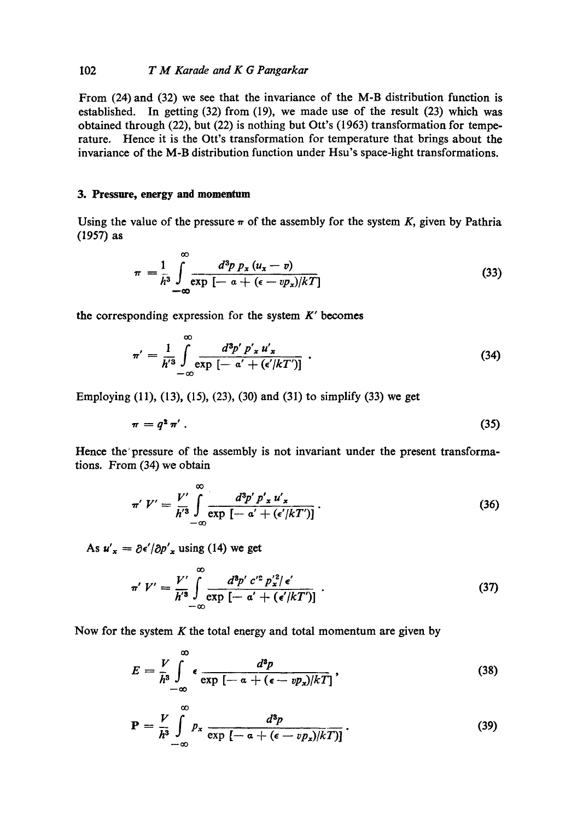## I02 *T M Karade and K G Pangarkar*

From (24) and (32) we see that the invariance of the M-B distribution function is established. In getting (32) from (19), we made use of the result (23) which was obtained through (22), but (22) is nothing but Ott's (1963) transformation for temperature. Hence it is the Ott's transformation for temperature that brings about the invariance of the M-B distribution function under Hsu's space-tight transformations.

## **3. Pressure, energy and momentum**

Using the value of the pressure  $\pi$  of the assembly for the system K, given by Pathria (1957) as

$$
\pi = \frac{1}{h^3} \int_{-\infty}^{\infty} \frac{d^3 p \ p_x (u_x - v)}{\exp \left[ - \alpha + (\epsilon - v p_x) / kT \right]} \tag{33}
$$

the corresponding expression for the system  $K'$  becomes

$$
\pi' = \frac{1}{h'^3} \int_{-\infty}^{\infty} \frac{d^3 p' \ p'_x u'_x}{\exp\left[-a' + \left(\epsilon'/kT'\right)\right]} \ . \tag{34}
$$

Employing (11), (13), (15), (23), (30) and (31) to simplify (33) we get

$$
\pi = q^2 \pi' \tag{35}
$$

Hence the' pressure of the assembly is not invariant under the present transformations. From (34) we obtain

$$
\pi' V' = \frac{V'}{h'^3} \int_{-\infty}^{\infty} \frac{d^3 p' p' \cdot x u' \cdot}{\exp\left[-a' + \left(\frac{\epsilon'}{kT'}\right)\right]}.
$$
\n(36)

As  $u'_x = \partial \epsilon'/\partial p'_x$  using (14) we get

$$
\pi' V' = \frac{V'}{h'^3} \int_{-\infty}^{\infty} \frac{d^3 p' c'^2 p_x'^2 / \epsilon'}{\exp\left[-\alpha' + (\epsilon'/kT')\right]} \ . \tag{37}
$$

Now for the system  $K$  the total energy and total momentum are given by

$$
E = \frac{V}{h^3} \int_{-\infty}^{\infty} \epsilon \frac{d^3p}{\exp\left[-\alpha + (\epsilon - vp_x)/kT\right]},
$$
\n(38)

$$
\mathbf{P} = \frac{V}{h^3} \int_{-\infty}^{\infty} p_x \frac{d^3p}{\exp\left\{-\alpha + (\epsilon - v p_x)/kT\right\}}.
$$
 (39)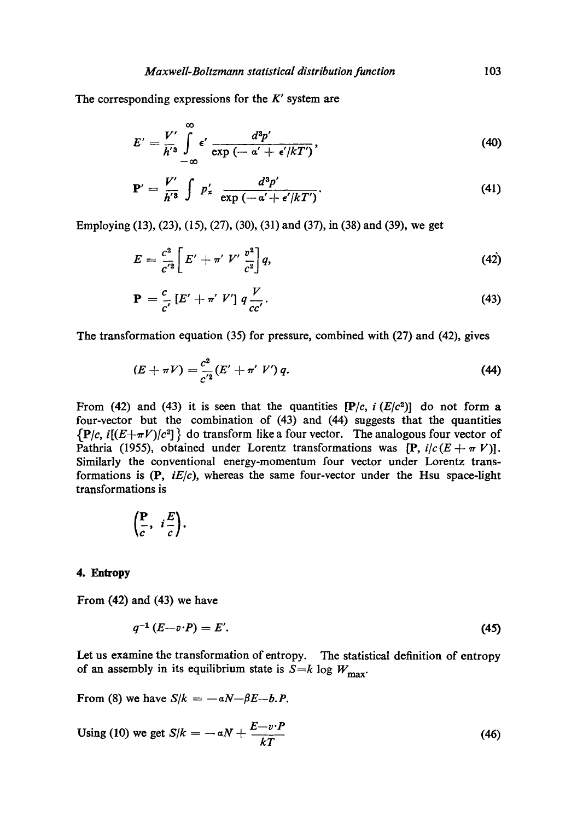The corresponding expressions for the  $K'$  system are

$$
E' = \frac{V'}{h'^3} \int_{-\infty}^{\infty} \epsilon' \frac{d^3 p'}{\exp{(-\alpha' + \epsilon'/kT')}} , \qquad (40)
$$

$$
\mathbf{P}' = \frac{V'}{h'^3} \int p'_x \frac{d^3 p'}{\exp\left(-\alpha' + \epsilon'/kT'\right)}.
$$
\n(41)

Employing (13), (23), (15), (27), (30), (31) and (37), in (38) and (39), we get

$$
E = \frac{c^2}{c'^2} \bigg[ E' + \pi' \ V' \ \frac{v^2}{c^2} \bigg] q, \tag{42}
$$

$$
\mathbf{P} = \frac{c}{c'} \left[ E' + \pi' V' \right] q \frac{V}{cc'}.
$$
 (43)

The transformation equation (35) for pressure, combined with (27) and (42), gives

$$
(E + \pi V) = \frac{c^2}{c'^2} (E' + \pi' V') q.
$$
 (44)

From (42) and (43) it is seen that the quantities  $[P/c, i (E/c<sup>2</sup>)]$  do not form a four-vector but the combination of (43) and (44) suggests that the quantities  ${P/c, i[(E+\pi V)/c^2]}$  do transform like a four vector. The analogous four vector of Pathria (1955), obtained under Lorentz transformations was  $[P, i/c(E + \pi V)].$ Similarly the conventional energy-momentum four vector under Lorentz transformations is (P, *iE/c),* whereas the same four-vector under the Hsu space-light transformations is

$$
\left(\frac{\mathbf{P}}{c}, i\frac{E}{c}\right).
$$

#### **4. Entropy**

From (42) and (43) we have

$$
q^{-1}\left(E-v\cdot P\right)=E'.
$$
\n<sup>(45)</sup>

Let us examine the transformation of entropy. The statistical definition of entropy of an assembly in its equilibrium state is  $S=k \log W_{\text{max}}$ .

From (8) we have  $S/k = -aN-\beta E-b.P$ .

Using (10) we get 
$$
S/k = -aN + \frac{E - v \cdot P}{kT}
$$
 (46)